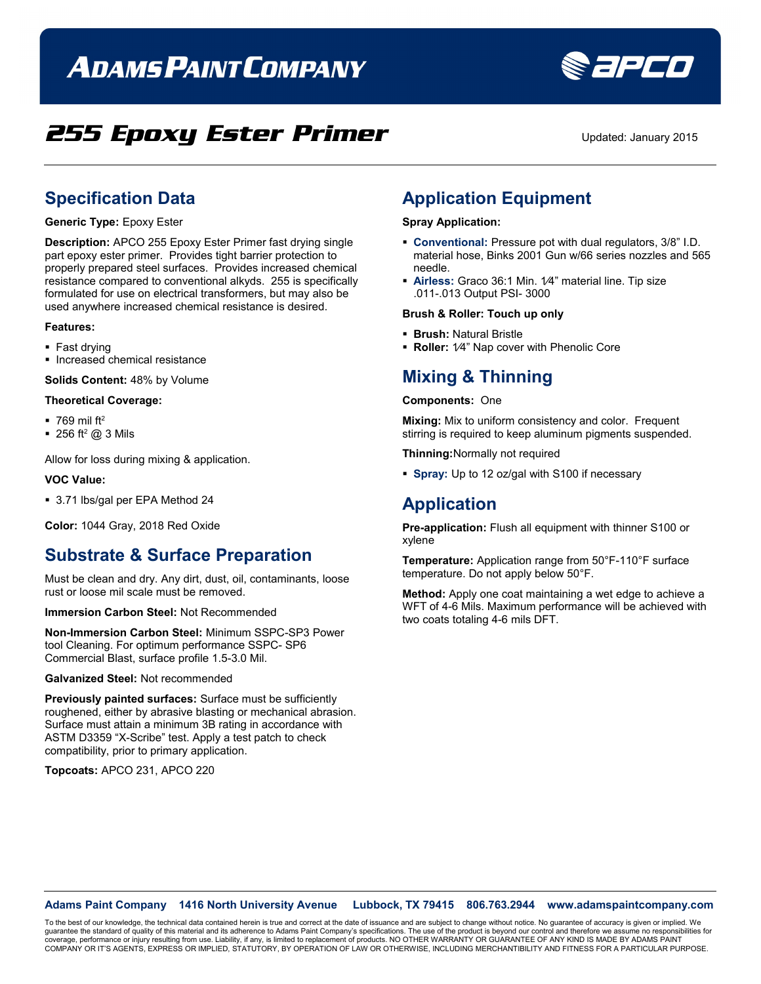# **ADAMS PAINT COMPANY**



## **255 Epoxy Ester Primer** Updated: January 2015

### **Specification Data**

### **Generic Type:** Epoxy Ester

**Description:** APCO 255 Epoxy Ester Primer fast drying single part epoxy ester primer. Provides tight barrier protection to properly prepared steel surfaces. Provides increased chemical resistance compared to conventional alkyds. 255 is specifically formulated for use on electrical transformers, but may also be used anywhere increased chemical resistance is desired.

#### **Features:**

- Fast drying
- **Increased chemical resistance**

**Solids Content:** 48% by Volume

#### **Theoretical Coverage:**

- $\blacksquare$  769 mil ft<sup>2</sup>
- $\blacksquare$  256 ft<sup>2</sup> @ 3 Mils

Allow for loss during mixing & application.

#### **VOC Value:**

■ 3.71 lbs/gal per EPA Method 24

**Color:** 1044 Gray, 2018 Red Oxide

### **Substrate & Surface Preparation**

Must be clean and dry. Any dirt, dust, oil, contaminants, loose rust or loose mil scale must be removed.

**Immersion Carbon Steel:** Not Recommended

**Non-Immersion Carbon Steel:** Minimum SSPC-SP3 Power tool Cleaning. For optimum performance SSPC- SP6 Commercial Blast, surface profile 1.5-3.0 Mil.

**Galvanized Steel:** Not recommended

**Previously painted surfaces:** Surface must be sufficiently roughened, either by abrasive blasting or mechanical abrasion. Surface must attain a minimum 3B rating in accordance with ASTM D3359 "X-Scribe" test. Apply a test patch to check compatibility, prior to primary application.

**Topcoats:** APCO 231, APCO 220

### **Application Equipment**

### **Spray Application:**

- **Conventional:** Pressure pot with dual regulators, 3/8" I.D. material hose, Binks 2001 Gun w/66 series nozzles and 565 needle.
- **Airless:** Graco 36:1 Min. 1⁄4" material line. Tip size .011-.013 Output PSI- 3000

#### **Brush & Roller: Touch up only**

- **Brush:** Natural Bristle
- **Roller:** 1⁄4" Nap cover with Phenolic Core

### **Mixing & Thinning**

#### **Components:** One

**Mixing:** Mix to uniform consistency and color. Frequent stirring is required to keep aluminum pigments suspended.

**Thinning:**Normally not required

**Spray:** Up to 12 oz/gal with S100 if necessary

### **Application**

**Pre-application:** Flush all equipment with thinner S100 or xylene

**Temperature:** Application range from 50°F-110°F surface temperature. Do not apply below 50°F.

**Method:** Apply one coat maintaining a wet edge to achieve a WFT of 4-6 Mils. Maximum performance will be achieved with two coats totaling 4-6 mils DFT.

### **Adams Paint Company 1416 North University Avenue Lubbock, TX 79415 806.763.2944 www.adamspaintcompany.com**

To the best of our knowledge, the technical data contained herein is true and correct at the date of issuance and are subject to change without notice. No guarantee of accuracy is given or implied. We<br>quarantee the standar guarantee the standard of quality of this material and its adherence to Adams Paint Company's specifications. The use of the product is beyond our control and therefore we as coverage, performance or injury resulting from use. Liability, if any, is limited to replacement of products. NO OTHER WARRANTY OR GUARANTEE OF ANY KIND IS MADE BY ADAMS PAINT<br>COMPANY OR IT'S AGENTS, EXPRESS OR IMPLIED, ST